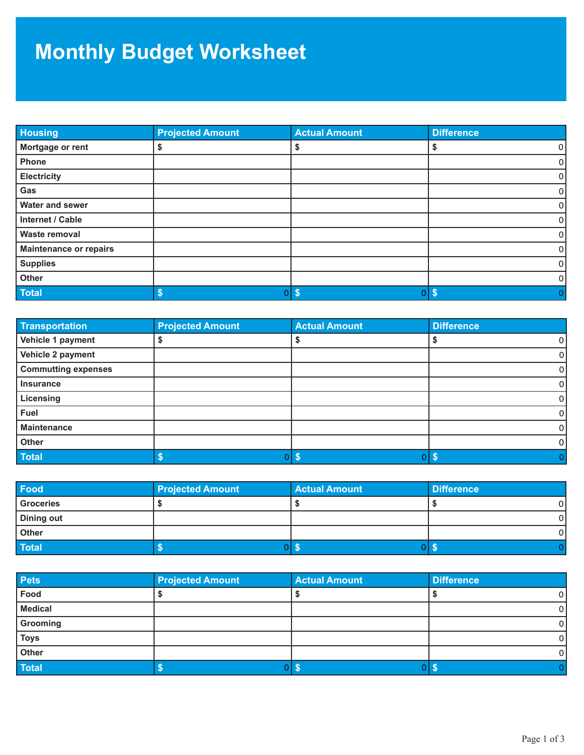## **Monthly Budget Worksheet**

| <b>Housing</b>                | <b>Projected Amount</b> | <b>Actual Amount</b>            | <b>Difference</b>   |
|-------------------------------|-------------------------|---------------------------------|---------------------|
| Mortgage or rent              |                         | ৬                               | $\overline{0}$<br>S |
| Phone                         |                         |                                 | $\overline{0}$      |
| <b>Electricity</b>            |                         |                                 | $\overline{0}$      |
| Gas                           |                         |                                 | $\overline{0}$      |
| <b>Water and sewer</b>        |                         |                                 | $\overline{0}$      |
| Internet / Cable              |                         |                                 | $\Omega$            |
| <b>Waste removal</b>          |                         |                                 | $\overline{0}$      |
| <b>Maintenance or repairs</b> |                         |                                 | $\overline{0}$      |
| <b>Supplies</b>               |                         |                                 | 0                   |
| Other                         |                         |                                 | $\Omega$            |
| <b>Total</b>                  | \$<br>0 I               | $\boldsymbol{\mathsf{s}}$<br>01 | $\sqrt{3}$<br>0     |

| <b>Transportation</b>      | <b>Projected Amount</b> | <b>Actual Amount</b> | <b>Difference</b> |
|----------------------------|-------------------------|----------------------|-------------------|
| Vehicle 1 payment          |                         |                      | 0                 |
| Vehicle 2 payment          |                         |                      | O                 |
| <b>Commutting expenses</b> |                         |                      | 0                 |
| <b>Insurance</b>           |                         |                      | 0                 |
| Licensing                  |                         |                      | 0                 |
| <b>Fuel</b>                |                         |                      | 0                 |
| <b>Maintenance</b>         |                         |                      | 0                 |
| Other                      |                         |                      | 0                 |
| <b>Total</b>               |                         | οľ                   |                   |

| Food       | <b>Projected Amount</b> | <b>Actual Amount</b> | <b>Difference</b> |
|------------|-------------------------|----------------------|-------------------|
| Groceries  |                         |                      |                   |
| Dining out |                         |                      |                   |
| Other      |                         |                      | 0                 |
| Total      |                         |                      |                   |

| <b>Pets</b>    | <b>Projected Amount</b> | <b>Actual Amount</b> | <b>Difference</b> |
|----------------|-------------------------|----------------------|-------------------|
| Food           |                         |                      | $\overline{0}$    |
| <b>Medical</b> |                         |                      | 01                |
| Grooming       |                         |                      | 0                 |
| <b>Toys</b>    |                         |                      | $\overline{0}$    |
| Other          |                         |                      | $\overline{0}$    |
| <b>Total</b>   |                         |                      |                   |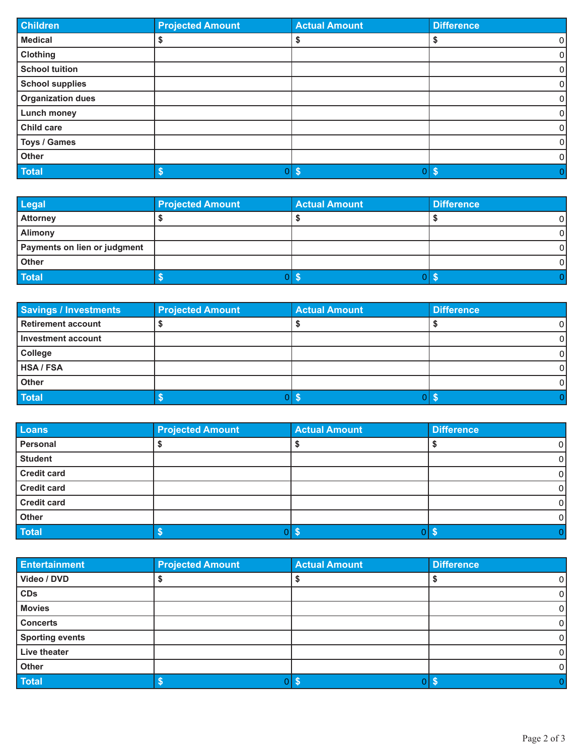| <b>Children</b>          | <b>Projected Amount</b> | <b>Actual Amount</b> | <b>Difference</b> |
|--------------------------|-------------------------|----------------------|-------------------|
| <b>Medical</b>           |                         |                      | 0 <br>Ð           |
| <b>Clothing</b>          |                         |                      | 0                 |
| <b>School tuition</b>    |                         |                      | 0                 |
| <b>School supplies</b>   |                         |                      | 0                 |
| <b>Organization dues</b> |                         |                      | 0                 |
| <b>Lunch money</b>       |                         |                      | 0                 |
| Child care               |                         |                      | 0                 |
| Toys / Games             |                         |                      | $\overline{0}$    |
| Other                    |                         |                      | 0                 |
| Total                    |                         | $0$ \$               | 0 I S             |

| Legal                        | <b>Projected Amount</b> | <b>Actual Amount</b> | <b>Difference</b> |
|------------------------------|-------------------------|----------------------|-------------------|
| Attorney                     |                         |                      |                   |
| Alimony                      |                         |                      |                   |
| Payments on lien or judgment |                         |                      |                   |
| Other                        |                         |                      |                   |
| Total                        |                         |                      | -1                |

| Savings / Investments | <b>Projected Amount</b> | <b>Actual Amount</b> | <b>Difference</b> |
|-----------------------|-------------------------|----------------------|-------------------|
| Retirement account    |                         |                      | 0                 |
| I Investment account  |                         |                      | $\Omega$          |
| <b>College</b>        |                         |                      | $\Omega$          |
| <b>HSA/FSA</b>        |                         |                      | $\Omega$          |
| Other                 |                         |                      | $\Omega$          |
| Total                 |                         |                      |                   |

| Loans              | <b>Projected Amount</b> | <b>Actual Amount</b> | <b>Difference</b> |
|--------------------|-------------------------|----------------------|-------------------|
| Personal           |                         |                      | 0                 |
| <b>Student</b>     |                         |                      | $\mathbf 0$       |
| <b>Credit card</b> |                         |                      | 0                 |
| <b>Credit card</b> |                         |                      | 0                 |
| <b>Credit card</b> |                         |                      | 0                 |
| Other              |                         |                      | $\mathbf 0$       |
| Total              |                         | ΟI                   | ა                 |

| <b>Entertainment</b>   | <b>Projected Amount</b> | <b>Actual Amount</b> | <b>Difference</b> |
|------------------------|-------------------------|----------------------|-------------------|
| Video / DVD            |                         |                      | 01                |
| <b>CDs</b>             |                         |                      | $\overline{0}$    |
| <b>Movies</b>          |                         |                      | 0 I               |
| <b>Concerts</b>        |                         |                      | $\overline{0}$    |
| <b>Sporting events</b> |                         |                      | $\overline{0}$    |
| Live theater           |                         |                      | $\overline{0}$    |
| Other                  |                         |                      | $\overline{0}$    |
| <b>Total</b>           |                         |                      |                   |